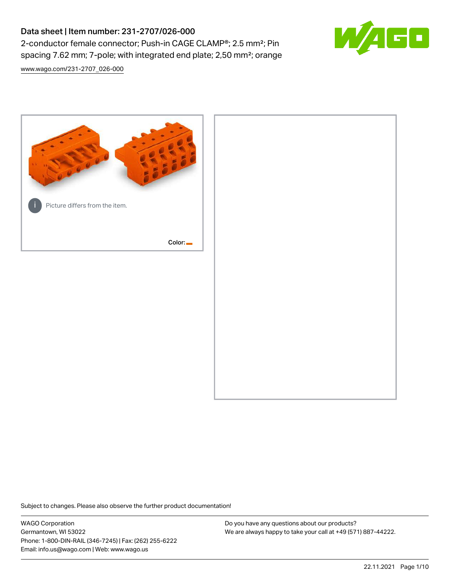## Data sheet | Item number: 231-2707/026-000 2-conductor female connector; Push-in CAGE CLAMP®; 2.5 mm²; Pin spacing 7.62 mm; 7-pole; with integrated end plate; 2,50 mm²; orange



[www.wago.com/231-2707\\_026-000](http://www.wago.com/231-2707_026-000)



Subject to changes. Please also observe the further product documentation!

WAGO Corporation Germantown, WI 53022 Phone: 1-800-DIN-RAIL (346-7245) | Fax: (262) 255-6222 Email: info.us@wago.com | Web: www.wago.us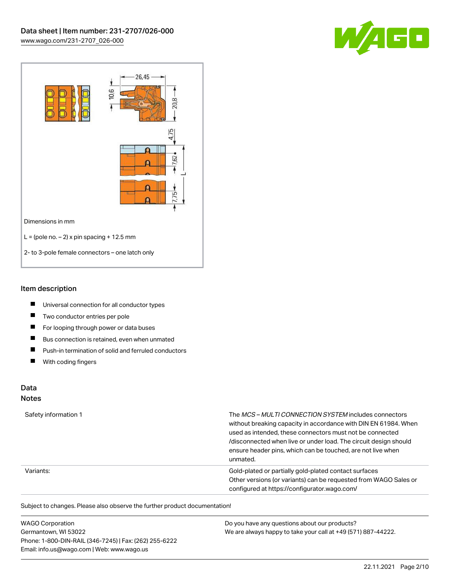



#### Item description

- $\blacksquare$ Universal connection for all conductor types
- $\blacksquare$ Two conductor entries per pole
- $\blacksquare$ For looping through power or data buses
- $\blacksquare$ Bus connection is retained, even when unmated
- $\blacksquare$ Push-in termination of solid and ferruled conductors
- $\blacksquare$ With coding fingers

## Data

#### Notes

| Safety information 1 | The MCS-MULTI CONNECTION SYSTEM includes connectors<br>without breaking capacity in accordance with DIN EN 61984. When<br>used as intended, these connectors must not be connected<br>/disconnected when live or under load. The circuit design should<br>ensure header pins, which can be touched, are not live when<br>unmated. |
|----------------------|-----------------------------------------------------------------------------------------------------------------------------------------------------------------------------------------------------------------------------------------------------------------------------------------------------------------------------------|
| Variants:            | Gold-plated or partially gold-plated contact surfaces<br>Other versions (or variants) can be requested from WAGO Sales or<br>configured at https://configurator.wago.com/                                                                                                                                                         |

Subject to changes. Please also observe the further product documentation!

| <b>WAGO Corporation</b>                                | Do you have any questions about our products?                 |
|--------------------------------------------------------|---------------------------------------------------------------|
| Germantown, WI 53022                                   | We are always happy to take your call at +49 (571) 887-44222. |
| Phone: 1-800-DIN-RAIL (346-7245)   Fax: (262) 255-6222 |                                                               |
| Email: info.us@wago.com   Web: www.wago.us             |                                                               |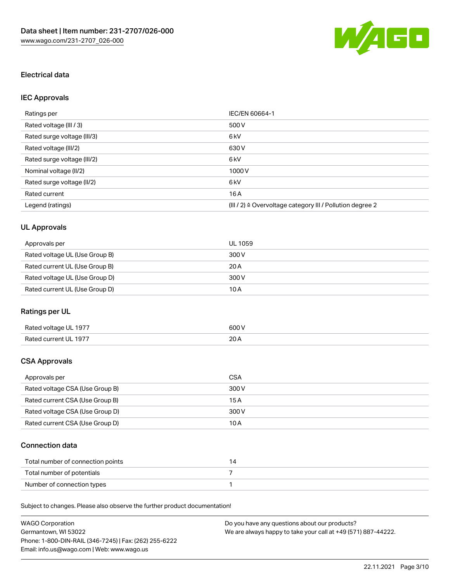

## Electrical data

## IEC Approvals

| Ratings per                 | IEC/EN 60664-1                                                        |
|-----------------------------|-----------------------------------------------------------------------|
| Rated voltage (III / 3)     | 500 V                                                                 |
| Rated surge voltage (III/3) | 6 kV                                                                  |
| Rated voltage (III/2)       | 630 V                                                                 |
| Rated surge voltage (III/2) | 6 <sub>k</sub> V                                                      |
| Nominal voltage (II/2)      | 1000V                                                                 |
| Rated surge voltage (II/2)  | 6 <sub>k</sub> V                                                      |
| Rated current               | 16A                                                                   |
| Legend (ratings)            | $(III / 2)$ $\triangle$ Overvoltage category III / Pollution degree 2 |

## UL Approvals

| Approvals per                  | UL 1059 |
|--------------------------------|---------|
| Rated voltage UL (Use Group B) | 300 V   |
| Rated current UL (Use Group B) | 20A     |
| Rated voltage UL (Use Group D) | 300 V   |
| Rated current UL (Use Group D) | 10 A    |

## Ratings per UL

| Rated voltage UL 1977 | 600 V       |
|-----------------------|-------------|
| Rated current UL 1977 | 20h<br>20 A |

## CSA Approvals

| Approvals per                   | CSA   |
|---------------------------------|-------|
| Rated voltage CSA (Use Group B) | 300 V |
| Rated current CSA (Use Group B) | 15 A  |
| Rated voltage CSA (Use Group D) | 300 V |
| Rated current CSA (Use Group D) | 10 A  |

## Connection data

| Total number of connection points |  |
|-----------------------------------|--|
| Total number of potentials        |  |
| Number of connection types        |  |

Subject to changes. Please also observe the further product documentation!

| <b>WAGO Corporation</b>                                | Do you have any questions about our products?                 |
|--------------------------------------------------------|---------------------------------------------------------------|
| Germantown, WI 53022                                   | We are always happy to take your call at +49 (571) 887-44222. |
| Phone: 1-800-DIN-RAIL (346-7245)   Fax: (262) 255-6222 |                                                               |
| Email: info.us@wago.com   Web: www.wago.us             |                                                               |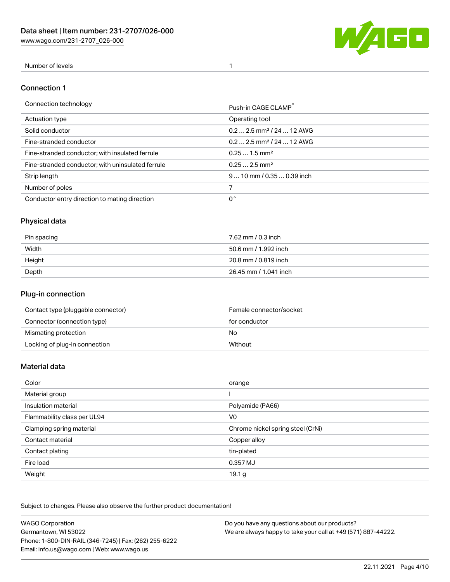[www.wago.com/231-2707\\_026-000](http://www.wago.com/231-2707_026-000)



#### Number of levels 1

#### Connection 1

| Connection technology                             | Push-in CAGE CLAMP®                   |
|---------------------------------------------------|---------------------------------------|
| Actuation type                                    | Operating tool                        |
| Solid conductor                                   | $0.22.5$ mm <sup>2</sup> / 24  12 AWG |
| Fine-stranded conductor                           | $0.22.5$ mm <sup>2</sup> / 24  12 AWG |
| Fine-stranded conductor; with insulated ferrule   | $0.251.5$ mm <sup>2</sup>             |
| Fine-stranded conductor; with uninsulated ferrule | $0.252.5$ mm <sup>2</sup>             |
| Strip length                                      | $910$ mm $/0.350.39$ inch             |
| Number of poles                                   |                                       |
| Conductor entry direction to mating direction     | 0°                                    |

## Physical data

| Pin spacing | 7.62 mm / 0.3 inch    |
|-------------|-----------------------|
| Width       | 50.6 mm / 1.992 inch  |
| Height      | 20.8 mm / 0.819 inch  |
| Depth       | 26.45 mm / 1.041 inch |

#### Plug-in connection

| Contact type (pluggable connector) | Female connector/socket |
|------------------------------------|-------------------------|
| Connector (connection type)        | for conductor           |
| Mismating protection               | No                      |
| Locking of plug-in connection      | Without                 |

#### Material data

| Color                       | orange                            |
|-----------------------------|-----------------------------------|
| Material group              |                                   |
| Insulation material         | Polyamide (PA66)                  |
| Flammability class per UL94 | V <sub>0</sub>                    |
| Clamping spring material    | Chrome nickel spring steel (CrNi) |
| Contact material            | Copper alloy                      |
| Contact plating             | tin-plated                        |
| Fire load                   | 0.357 MJ                          |
| Weight                      | 19.1 <sub>g</sub>                 |

Subject to changes. Please also observe the further product documentation!

| <b>WAGO Corporation</b>                                | Do you have any questions about our products?                 |
|--------------------------------------------------------|---------------------------------------------------------------|
| Germantown, WI 53022                                   | We are always happy to take your call at +49 (571) 887-44222. |
| Phone: 1-800-DIN-RAIL (346-7245)   Fax: (262) 255-6222 |                                                               |
| Email: info.us@wago.com   Web: www.wago.us             |                                                               |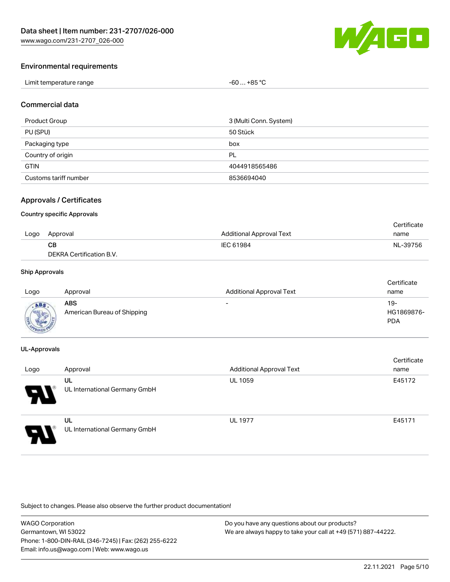

#### Environmental requirements

| Limit temperature range | . +85 °C<br>-60 |
|-------------------------|-----------------|
|-------------------------|-----------------|

#### Commercial data

| Product Group         | 3 (Multi Conn. System) |
|-----------------------|------------------------|
| PU (SPU)              | 50 Stück               |
| Packaging type        | box                    |
| Country of origin     | PL                     |
| <b>GTIN</b>           | 4044918565486          |
| Customs tariff number | 8536694040             |

#### Approvals / Certificates

#### Country specific Approvals

|      |                          |                                 | Certificate |
|------|--------------------------|---------------------------------|-------------|
| Logo | Approval                 | <b>Additional Approval Text</b> | name        |
|      | CВ                       | IEC 61984                       | NL-39756    |
|      | DEKRA Certification B.V. |                                 |             |

#### Ship Approvals

| Logo        | Approval                           | <b>Additional Approval Text</b> | Certificate<br>name             |
|-------------|------------------------------------|---------------------------------|---------------------------------|
| <b>MOVE</b> | ABS<br>American Bureau of Shipping | $\overline{\phantom{0}}$        | 19-<br>HG1869876-<br><b>PDA</b> |

#### UL-Approvals

| Logo                       | Approval                            | <b>Additional Approval Text</b> | Certificate<br>name |
|----------------------------|-------------------------------------|---------------------------------|---------------------|
| $\boldsymbol{\mathcal{A}}$ | UL<br>UL International Germany GmbH | <b>UL 1059</b>                  | E45172              |
| J                          | UL<br>UL International Germany GmbH | <b>UL 1977</b>                  | E45171              |

Subject to changes. Please also observe the further product documentation!

WAGO Corporation Germantown, WI 53022 Phone: 1-800-DIN-RAIL (346-7245) | Fax: (262) 255-6222 Email: info.us@wago.com | Web: www.wago.us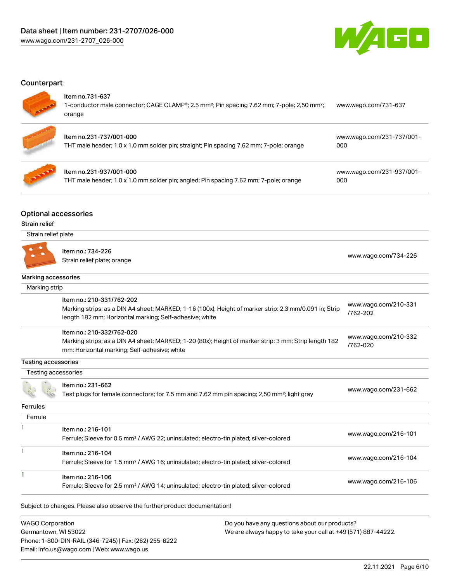

#### **Counterpart**

#### Item no.731-637

| 1-conductor male connector; CAGE CLAMP <sup>®</sup> ; 2.5 mm <sup>2</sup> ; Pin spacing 7.62 mm; 7-pole; 2,50 mm <sup>2</sup> ;<br>orange | www.wago.com/731-637             |
|-------------------------------------------------------------------------------------------------------------------------------------------|----------------------------------|
| Item no.231-737/001-000<br>THT male header; 1.0 x 1.0 mm solder pin; straight; Pin spacing 7.62 mm; 7-pole; orange                        | www.wago.com/231-737/001-<br>000 |



# Item no.231-937/001-000

THT male header; 1.0 x 1.0 mm solder pin; angled; Pin spacing 7.62 mm; 7-pole; orange

[www.wago.com/231-937/001-](https://www.wago.com/231-937/001-000) [000](https://www.wago.com/231-937/001-000)

#### Optional accessories

#### Strain relief

| Strain relief plate        |                                                                                                                                                                   |                                  |
|----------------------------|-------------------------------------------------------------------------------------------------------------------------------------------------------------------|----------------------------------|
|                            | Item no.: 734-226<br>Strain relief plate; orange                                                                                                                  | www.wago.com/734-226             |
| Marking accessories        |                                                                                                                                                                   |                                  |
| Marking strip              |                                                                                                                                                                   |                                  |
|                            | Item no.: 210-331/762-202                                                                                                                                         |                                  |
|                            | Marking strips; as a DIN A4 sheet; MARKED; 1-16 (100x); Height of marker strip: 2.3 mm/0.091 in; Strip<br>length 182 mm; Horizontal marking; Self-adhesive; white | www.wago.com/210-331<br>/762-202 |
|                            | Item no.: 210-332/762-020                                                                                                                                         |                                  |
|                            | Marking strips; as a DIN A4 sheet; MARKED; 1-20 (80x); Height of marker strip: 3 mm; Strip length 182<br>mm; Horizontal marking; Self-adhesive; white             | www.wago.com/210-332<br>/762-020 |
| <b>Testing accessories</b> |                                                                                                                                                                   |                                  |
| <b>Testing accessories</b> |                                                                                                                                                                   |                                  |
|                            | Item no.: 231-662<br>Test plugs for female connectors; for 7.5 mm and 7.62 mm pin spacing; 2,50 mm <sup>2</sup> ; light gray                                      | www.wago.com/231-662             |
| <b>Ferrules</b>            |                                                                                                                                                                   |                                  |
| Ferrule                    |                                                                                                                                                                   |                                  |
|                            | Item no.: 216-101<br>Ferrule; Sleeve for 0.5 mm <sup>2</sup> / AWG 22; uninsulated; electro-tin plated; silver-colored                                            | www.wago.com/216-101             |
|                            | Item no.: 216-104                                                                                                                                                 |                                  |
|                            | Ferrule; Sleeve for 1.5 mm <sup>2</sup> / AWG 16; uninsulated; electro-tin plated; silver-colored                                                                 | www.wago.com/216-104             |
|                            | Item no.: 216-106                                                                                                                                                 |                                  |
|                            | Ferrule; Sleeve for 2.5 mm <sup>2</sup> / AWG 14; uninsulated; electro-tin plated; silver-colored                                                                 | www.wago.com/216-106             |
|                            | Subject to changes. Please also observe the further product documentation!                                                                                        |                                  |
|                            |                                                                                                                                                                   |                                  |

WAGO Corporation Germantown, WI 53022 Phone: 1-800-DIN-RAIL (346-7245) | Fax: (262) 255-6222 Email: info.us@wago.com | Web: www.wago.us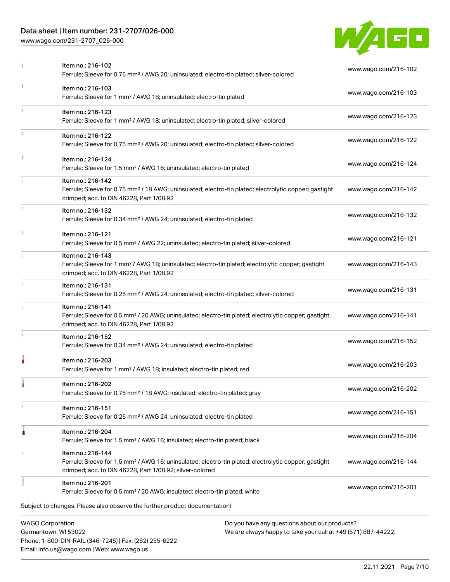## Data sheet | Item number: 231-2707/026-000

[www.wago.com/231-2707\\_026-000](http://www.wago.com/231-2707_026-000)

Email: info.us@wago.com | Web: www.wago.us



| Item no.: 216-102<br>Ferrule; Sleeve for 0.75 mm <sup>2</sup> / AWG 20; uninsulated; electro-tin plated; silver-colored                                                                           | www.wago.com/216-102                                          |
|---------------------------------------------------------------------------------------------------------------------------------------------------------------------------------------------------|---------------------------------------------------------------|
| Item no.: 216-103<br>Ferrule; Sleeve for 1 mm <sup>2</sup> / AWG 18; uninsulated; electro-tin plated                                                                                              | www.wago.com/216-103                                          |
| Item no.: 216-123<br>Ferrule; Sleeve for 1 mm <sup>2</sup> / AWG 18; uninsulated; electro-tin plated; silver-colored                                                                              | www.wago.com/216-123                                          |
| Item no.: 216-122<br>Ferrule; Sleeve for 0.75 mm <sup>2</sup> / AWG 20; uninsulated; electro-tin plated; silver-colored                                                                           | www.wago.com/216-122                                          |
| Item no.: 216-124<br>Ferrule; Sleeve for 1.5 mm <sup>2</sup> / AWG 16; uninsulated; electro-tin plated                                                                                            | www.wago.com/216-124                                          |
| Item no.: 216-142<br>Ferrule; Sleeve for 0.75 mm <sup>2</sup> / 18 AWG; uninsulated; electro-tin plated; electrolytic copper; gastight<br>crimped; acc. to DIN 46228, Part 1/08.92                | www.wago.com/216-142                                          |
| Item no.: 216-132<br>Ferrule; Sleeve for 0.34 mm <sup>2</sup> / AWG 24; uninsulated; electro-tin plated                                                                                           | www.wago.com/216-132                                          |
| Item no.: 216-121<br>Ferrule; Sleeve for 0.5 mm <sup>2</sup> / AWG 22; uninsulated; electro-tin plated; silver-colored                                                                            | www.wago.com/216-121                                          |
| Item no.: 216-143<br>Ferrule; Sleeve for 1 mm <sup>2</sup> / AWG 18; uninsulated; electro-tin plated; electrolytic copper; gastight<br>crimped; acc. to DIN 46228, Part 1/08.92                   | www.wago.com/216-143                                          |
| Item no.: 216-131<br>Ferrule; Sleeve for 0.25 mm <sup>2</sup> / AWG 24; uninsulated; electro-tin plated; silver-colored                                                                           | www.wago.com/216-131                                          |
| Item no.: 216-141<br>Ferrule; Sleeve for 0.5 mm <sup>2</sup> / 20 AWG; uninsulated; electro-tin plated; electrolytic copper; gastight<br>crimped; acc. to DIN 46228, Part 1/08.92                 | www.wago.com/216-141                                          |
| Item no.: 216-152<br>Ferrule; Sleeve for 0.34 mm <sup>2</sup> / AWG 24; uninsulated; electro-tin plated                                                                                           | www.wago.com/216-152                                          |
| Item no.: 216-203<br>Ferrule; Sleeve for 1 mm <sup>2</sup> / AWG 18; insulated; electro-tin plated; red                                                                                           | www.wago.com/216-203                                          |
| Item no.: 216-202<br>Ferrule; Sleeve for 0.75 mm <sup>2</sup> / 18 AWG; insulated; electro-tin plated; gray                                                                                       | www.wago.com/216-202                                          |
| Item no.: 216-151<br>Ferrule; Sleeve for 0.25 mm <sup>2</sup> / AWG 24; uninsulated; electro-tin plated                                                                                           | www.wago.com/216-151                                          |
| Item no.: 216-204<br>Ferrule; Sleeve for 1.5 mm <sup>2</sup> / AWG 16; insulated; electro-tin plated; black                                                                                       | www.wago.com/216-204                                          |
| Item no.: 216-144<br>Ferrule; Sleeve for 1.5 mm <sup>2</sup> / AWG 16; uninsulated; electro-tin plated; electrolytic copper; gastight<br>crimped; acc. to DIN 46228, Part 1/08.92; silver-colored | www.wago.com/216-144                                          |
| Item no.: 216-201<br>Ferrule; Sleeve for 0.5 mm <sup>2</sup> / 20 AWG; insulated; electro-tin plated; white                                                                                       | www.wago.com/216-201                                          |
| Subject to changes. Please also observe the further product documentation!                                                                                                                        |                                                               |
| <b>WAGO Corporation</b><br>Do you have any questions about our products?<br>Germantown, WI 53022<br>Phone: 1-800-DIN-RAIL (346-7245)   Fax: (262) 255-6222                                        | We are always happy to take your call at +49 (571) 887-44222. |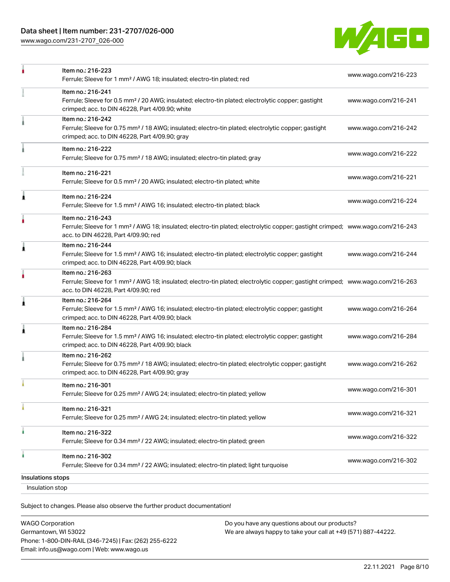[www.wago.com/231-2707\\_026-000](http://www.wago.com/231-2707_026-000)



| Insulation stop   |                                                                                                                                                                                                         |                      |
|-------------------|---------------------------------------------------------------------------------------------------------------------------------------------------------------------------------------------------------|----------------------|
| Insulations stops |                                                                                                                                                                                                         |                      |
| à                 | Item no.: 216-302<br>Ferrule; Sleeve for 0.34 mm <sup>2</sup> / 22 AWG; insulated; electro-tin plated; light turquoise                                                                                  | www.wago.com/216-302 |
|                   | Item no.: 216-322<br>Ferrule; Sleeve for 0.34 mm <sup>2</sup> / 22 AWG; insulated; electro-tin plated; green                                                                                            | www.wago.com/216-322 |
|                   | Item no.: 216-321<br>Ferrule; Sleeve for 0.25 mm <sup>2</sup> / AWG 24; insulated; electro-tin plated; yellow                                                                                           | www.wago.com/216-321 |
|                   | Item no.: 216-301<br>Ferrule; Sleeve for 0.25 mm <sup>2</sup> / AWG 24; insulated; electro-tin plated; yellow                                                                                           | www.wago.com/216-301 |
|                   | Item no.: 216-262<br>Ferrule; Sleeve for 0.75 mm <sup>2</sup> / 18 AWG; insulated; electro-tin plated; electrolytic copper; gastight<br>crimped; acc. to DIN 46228, Part 4/09.90; gray                  | www.wago.com/216-262 |
| 1                 | Item no.: 216-284<br>Ferrule; Sleeve for 1.5 mm <sup>2</sup> / AWG 16; insulated; electro-tin plated; electrolytic copper; gastight<br>crimped; acc. to DIN 46228, Part 4/09.90; black                  | www.wago.com/216-284 |
| 1                 | Item no.: 216-264<br>Ferrule; Sleeve for 1.5 mm <sup>2</sup> / AWG 16; insulated; electro-tin plated; electrolytic copper; gastight<br>crimped; acc. to DIN 46228, Part 4/09.90; black                  | www.wago.com/216-264 |
|                   | Item no.: 216-263<br>Ferrule; Sleeve for 1 mm <sup>2</sup> / AWG 18; insulated; electro-tin plated; electrolytic copper; gastight crimped; www.wago.com/216-263<br>acc. to DIN 46228, Part 4/09.90; red |                      |
| 1                 | Item no.: 216-244<br>Ferrule; Sleeve for 1.5 mm <sup>2</sup> / AWG 16; insulated; electro-tin plated; electrolytic copper; gastight<br>crimped; acc. to DIN 46228, Part 4/09.90; black                  | www.wago.com/216-244 |
|                   | Item no.: 216-243<br>Ferrule; Sleeve for 1 mm <sup>2</sup> / AWG 18; insulated; electro-tin plated; electrolytic copper; gastight crimped; www.wago.com/216-243<br>acc. to DIN 46228, Part 4/09.90; red |                      |
| Â                 | Item no.: 216-224<br>Ferrule; Sleeve for 1.5 mm <sup>2</sup> / AWG 16; insulated; electro-tin plated; black                                                                                             | www.wago.com/216-224 |
|                   | Item no.: 216-221<br>Ferrule; Sleeve for 0.5 mm <sup>2</sup> / 20 AWG; insulated; electro-tin plated; white                                                                                             | www.wago.com/216-221 |
|                   | Item no.: 216-222<br>Ferrule; Sleeve for 0.75 mm <sup>2</sup> / 18 AWG; insulated; electro-tin plated; gray                                                                                             | www.wago.com/216-222 |
|                   | Item no.: 216-242<br>Ferrule; Sleeve for 0.75 mm <sup>2</sup> / 18 AWG; insulated; electro-tin plated; electrolytic copper; gastight<br>crimped; acc. to DIN 46228, Part 4/09.90; gray                  | www.wago.com/216-242 |
|                   | Item no.: 216-241<br>Ferrule; Sleeve for 0.5 mm <sup>2</sup> / 20 AWG; insulated; electro-tin plated; electrolytic copper; gastight<br>crimped; acc. to DIN 46228, Part 4/09.90; white                  | www.wago.com/216-241 |
|                   | Item no.: 216-223<br>Ferrule; Sleeve for 1 mm <sup>2</sup> / AWG 18; insulated; electro-tin plated; red                                                                                                 | www.wago.com/216-223 |

Subject to changes. Please also observe the further product documentation!

| <b>WAGO Corporation</b>                                |
|--------------------------------------------------------|
| Germantown, WI 53022                                   |
| Phone: 1-800-DIN-RAIL (346-7245)   Fax: (262) 255-6222 |
| Email: info.us@wago.com   Web: www.wago.us             |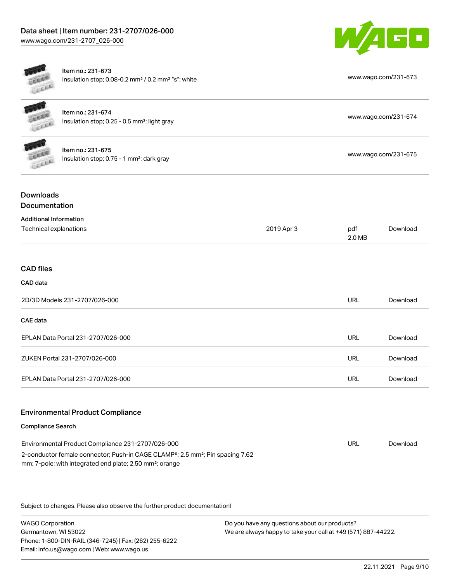

[www.wago.com/231-674](http://www.wago.com/231-674)

Item no.: 231-673 Insulation stop; 0.08-0.2 mm<sup>2</sup> / 0.2 mm<sup>2</sup> "s"; white [www.wago.com/231-673](http://www.wago.com/231-673)



| Item no.: 231-674                                          |  |
|------------------------------------------------------------|--|
| Insulation stop; $0.25 - 0.5$ mm <sup>2</sup> ; light gray |  |



Item no.: 231-675 Insulation stop; 0.75 - 1 mm²; dark gray [www.wago.com/231-675](http://www.wago.com/231-675)<br>Insulation stop; 0.75 - 1 mm²; dark gray

## Downloads Documentation

| <b>Additional Information</b>      |            |               |          |
|------------------------------------|------------|---------------|----------|
| Technical explanations             | 2019 Apr 3 | pdf<br>2.0 MB | Download |
|                                    |            |               |          |
| <b>CAD files</b>                   |            |               |          |
| CAD data                           |            |               |          |
| 2D/3D Models 231-2707/026-000      |            | <b>URL</b>    | Download |
| CAE data                           |            |               |          |
| EPLAN Data Portal 231-2707/026-000 |            | URL           | Download |
| ZUKEN Portal 231-2707/026-000      |            | <b>URL</b>    | Download |
| EPLAN Data Portal 231-2707/026-000 |            | <b>URL</b>    | Download |
|                                    |            |               |          |

## Environmental Product Compliance

#### Compliance Search

| Environmental Product Compliance 231-2707/026-000                                                      | URL | Download |
|--------------------------------------------------------------------------------------------------------|-----|----------|
| 2-conductor female connector; Push-in CAGE CLAMP <sup>®</sup> ; 2.5 mm <sup>2</sup> ; Pin spacing 7.62 |     |          |
| mm; 7-pole; with integrated end plate; 2,50 mm <sup>2</sup> ; orange                                   |     |          |

Subject to changes. Please also observe the further product documentation!

WAGO Corporation Germantown, WI 53022 Phone: 1-800-DIN-RAIL (346-7245) | Fax: (262) 255-6222 Email: info.us@wago.com | Web: www.wago.us